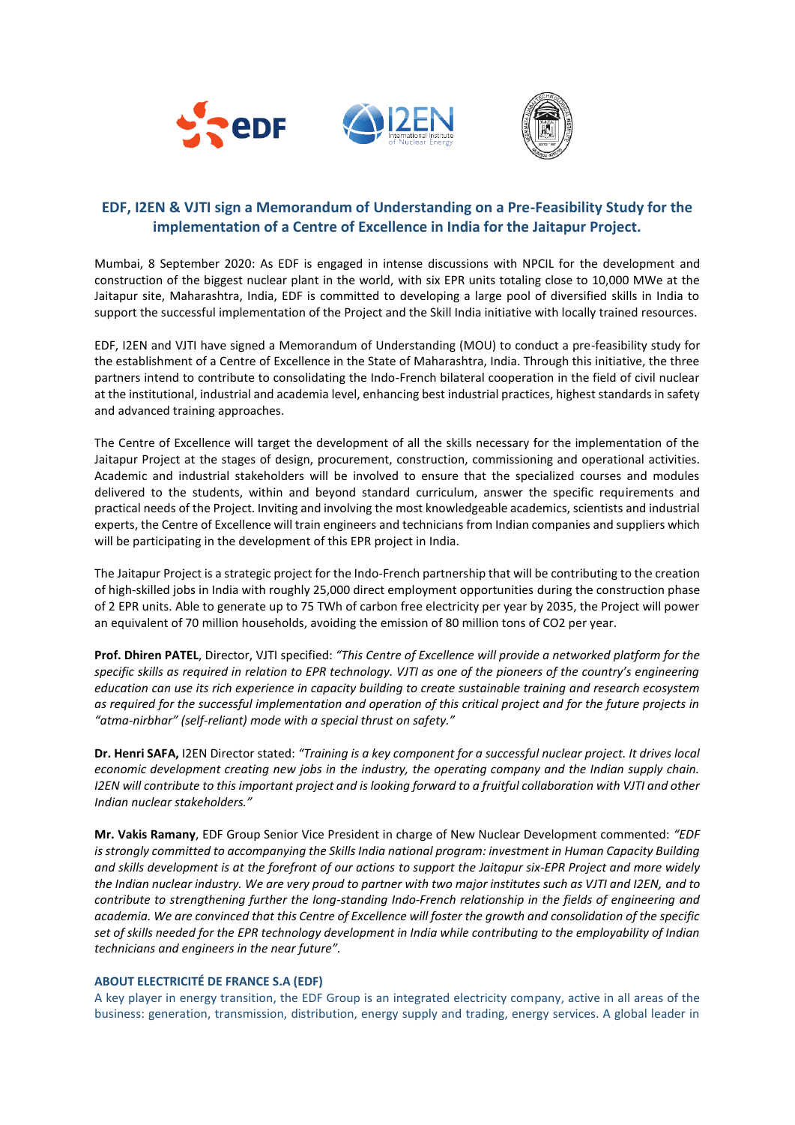





# **EDF, I2EN & VJTI sign a Memorandum of Understanding on a Pre-Feasibility Study for the implementation of a Centre of Excellence in India for the Jaitapur Project.**

Mumbai, 8 September 2020: As EDF is engaged in intense discussions with NPCIL for the development and construction of the biggest nuclear plant in the world, with six EPR units totaling close to 10,000 MWe at the Jaitapur site, Maharashtra, India, EDF is committed to developing a large pool of diversified skills in India to support the successful implementation of the Project and the Skill India initiative with locally trained resources.

EDF, I2EN and VJTI have signed a Memorandum of Understanding (MOU) to conduct a pre-feasibility study for the establishment of a Centre of Excellence in the State of Maharashtra, India. Through this initiative, the three partners intend to contribute to consolidating the Indo-French bilateral cooperation in the field of civil nuclear at the institutional, industrial and academia level, enhancing best industrial practices, highest standards in safety and advanced training approaches.

The Centre of Excellence will target the development of all the skills necessary for the implementation of the Jaitapur Project at the stages of design, procurement, construction, commissioning and operational activities. Academic and industrial stakeholders will be involved to ensure that the specialized courses and modules delivered to the students, within and beyond standard curriculum, answer the specific requirements and practical needs of the Project. Inviting and involving the most knowledgeable academics, scientists and industrial experts, the Centre of Excellence will train engineers and technicians from Indian companies and suppliers which will be participating in the development of this EPR project in India.

The Jaitapur Project is a strategic project for the Indo-French partnership that will be contributing to the creation of high-skilled jobs in India with roughly 25,000 direct employment opportunities during the construction phase of 2 EPR units. Able to generate up to 75 TWh of carbon free electricity per year by 2035, the Project will power an equivalent of 70 million households, avoiding the emission of 80 million tons of CO2 per year.

**Prof. Dhiren PATEL**, Director, VJTI specified: *"This Centre of Excellence will provide a networked platform for the specific skills as required in relation to EPR technology. VJTI as one of the pioneers of the country's engineering education can use its rich experience in capacity building to create sustainable training and research ecosystem as required for the successful implementation and operation of this critical project and for the future projects in "atma-nirbhar" (self-reliant) mode with a special thrust on safety."*

**Dr. Henri SAFA,** I2EN Director stated: *"Training is a key component for a successful nuclear project. It drives local economic development creating new jobs in the industry, the operating company and the Indian supply chain. I2EN will contribute to this important project and is looking forward to a fruitful collaboration with VJTI and other Indian nuclear stakeholders."*

**Mr. Vakis Ramany**, EDF Group Senior Vice President in charge of New Nuclear Development commented: *"EDF is strongly committed to accompanying the Skills India national program: investment in Human Capacity Building and skills development is at the forefront of our actions to support the Jaitapur six-EPR Project and more widely the Indian nuclear industry. We are very proud to partner with two major institutes such as VJTI and I2EN, and to contribute to strengthening further the long-standing Indo-French relationship in the fields of engineering and academia. We are convinced that this Centre of Excellence will foster the growth and consolidation of the specific set of skills needed for the EPR technology development in India while contributing to the employability of Indian technicians and engineers in the near future".* 

## **ABOUT ELECTRICITÉ DE FRANCE S.A (EDF)**

A key player in energy transition, the EDF Group is an integrated electricity company, active in all areas of the business: generation, transmission, distribution, energy supply and trading, energy services. A global leader in